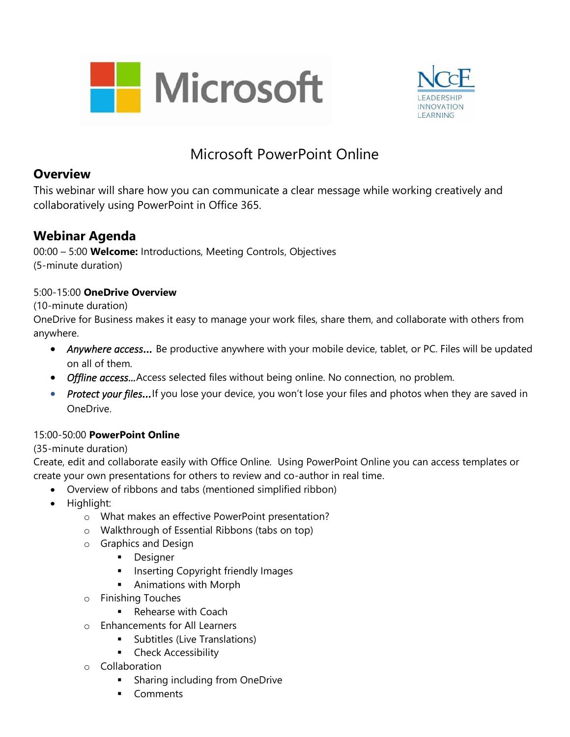



# Microsoft PowerPoint Online

### **Overview**

This webinar will share how you can communicate a clear message while working creatively and collaboratively using PowerPoint in Office 365.

### **Webinar Agenda**

00:00 – 5:00 **Welcome:** Introductions, Meeting Controls, Objectives (5-minute duration)

#### 5:00-15:00 **OneDrive Overview**

#### (10-minute duration)

OneDrive for Business makes it easy to manage your work files, share them, and collaborate with others from anywhere.

- Anywhere access... Be productive anywhere with your mobile device, tablet, or PC. Files will be updated on all of them.
- *Offline access…*Access selected files without being online. No connection, no problem.
- *Protect your files...* If you lose your device, you won't lose your files and photos when they are saved in OneDrive.

#### 15:00-50:00 **PowerPoint Online**

#### (35-minute duration)

Create, edit and collaborate easily with Office Online. Using PowerPoint Online you can access templates or create your own presentations for others to review and co-author in real time.

- Overview of ribbons and tabs (mentioned simplified ribbon)
- Highlight:
	- o What makes an effective PowerPoint presentation?
	- o Walkthrough of Essential Ribbons (tabs on top)
	- o Graphics and Design
		- **•** Designer
		- **■** Inserting Copyright friendly Images
		- **E** Animations with Morph
	- o Finishing Touches
		- Rehearse with Coach
	- o Enhancements for All Learners
		- **E** Subtitles (Live Translations)
		- **•** Check Accessibility
	- o Collaboration
		- **E** Sharing including from OneDrive
		- Comments